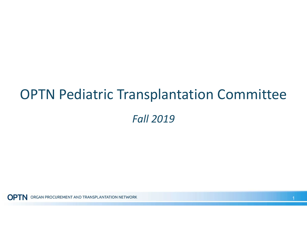# OPTN Pediatric Transplantation Committee Fall 2019

**OPTN** ORGAN PROCUREMENT AND TRANSPLANTATION NETWORK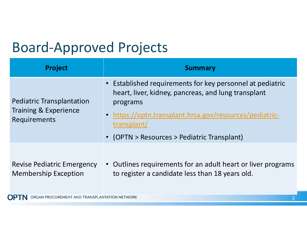# Board-Approved Projects

| <b>Project</b>                                                                       | <b>Summary</b>                                                                                                                                                                                                                                        |
|--------------------------------------------------------------------------------------|-------------------------------------------------------------------------------------------------------------------------------------------------------------------------------------------------------------------------------------------------------|
| <b>Pediatric Transplantation</b><br><b>Training &amp; Experience</b><br>Requirements | • Established requirements for key personnel at pediatric<br>heart, liver, kidney, pancreas, and lung transplant<br>programs<br>• https://optn.transplant.hrsa.gov/resources/pediatric-<br>transplant/<br>• (OPTN > Resources > Pediatric Transplant) |
| <b>Revise Pediatric Emergency</b><br><b>Membership Exception</b>                     | • Outlines requirements for an adult heart or liver programs<br>to register a candidate less than 18 years old.                                                                                                                                       |

**OPTN** ORGAN PROCUREMENT AND TRANSPLANTATION NETWORK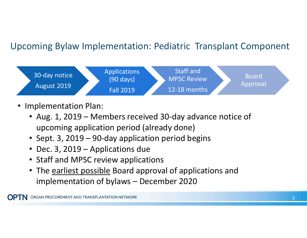### Upcoming Bylaw Implementation: Pediatric Transplant Component



- Implementation Plan:
	- • Aug. 1, 2019 Members received 30-day advance notice of upcoming application period (already done)
	- Sept. 3, 2019 90-day application period begins
	- Dec. 3, 2019 Applications due
	- Staff and MPSC review applications
	- The earliest possible Board approval of applications and implementation of bylaws – December 2020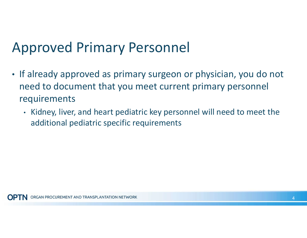## Approved Primary Personnel

- • If already approved as primary surgeon or physician, you do not need to document that you meet current primary personnel requirements
	- • Kidney, liver, and heart pediatric key personnel will need to meet the additional pediatric specific requirements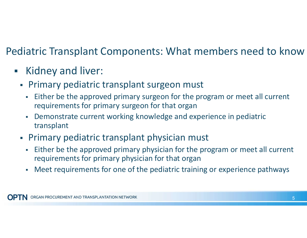### Pediatric Transplant Components: What members need to know

- Kidney and liver:
	- Primary pediatric transplant surgeon must
		- Either be the approved primary surgeon for the program or meet all current requirements for primary surgeon for that organ
		- Demonstrate current working knowledge and experience in pediatric transplant
	- Primary pediatric transplant physician must
		- Either be the approved primary physician for the program or meet all current requirements for primary physician for that organ
		- Meet requirements for one of the pediatric training or experience pathways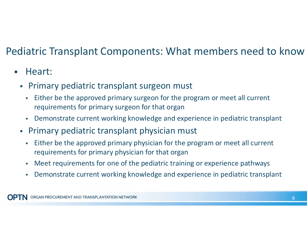### Pediatric Transplant Components: What members need to know

### **Heart:**

- Primary pediatric transplant surgeon must
	- Either be the approved primary surgeon for the program or meet all current requirements for primary surgeon for that organ
	- Demonstrate current working knowledge and experience in pediatric transplant
- Primary pediatric transplant physician must
	- Either be the approved primary physician for the program or meet all current requirements for primary physician for that organ
	- Meet requirements for one of the pediatric training or experience pathways
	- Demonstrate current working knowledge and experience in pediatric transplant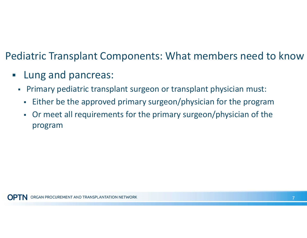### Pediatric Transplant Components: What members need to know

- **Lung and pancreas:** 
	- Primary pediatric transplant surgeon or transplant physician must:
		- Either be the approved primary surgeon/physician for the program
		- Or meet all requirements for the primary surgeon/physician of the program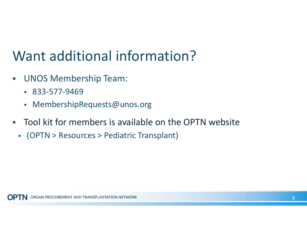# Want additional information?

- UNOS Membership Team:
	- 833-577-9469
	- [MembershipRequests@unos.org](mailto:MembershipRequests@unos.org)
- Tool kit for members is available on the OPTN website
	- (OPTN > Resources > Pediatric Transplant)